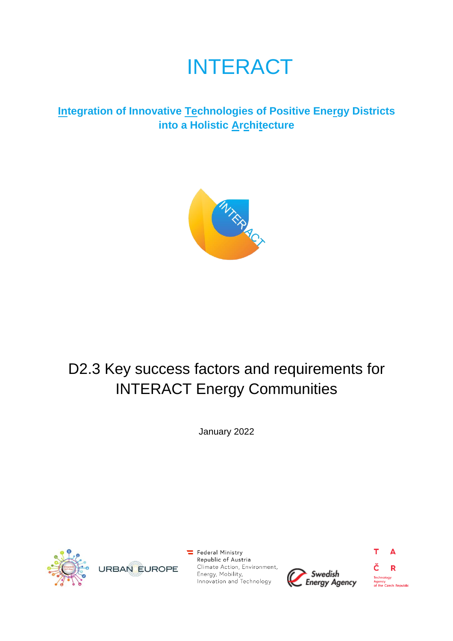# INTERACT

# **Integration of Innovative Technologies of Positive Energy Districts into a Holistic Architecture**



# D2.3 Key success factors and requirements for INTERACT Energy Communities

January 2022



 $\equiv$  Federal Ministry Republic of Austria Climate Action, Environment, Energy, Mobility, Innovation and Technology



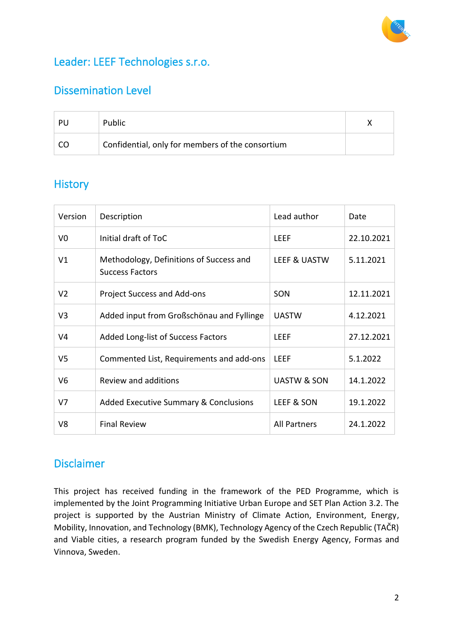

# Leader: LEEF Technologies s.r.o.

# Dissemination Level

| -PU | <b>Public</b>                                    |  |
|-----|--------------------------------------------------|--|
|     | Confidential, only for members of the consortium |  |

# **History**

| Version        | Description                                                       | Lead author         | Date       |
|----------------|-------------------------------------------------------------------|---------------------|------------|
| V <sub>0</sub> | Initial draft of ToC                                              | LEEF                | 22.10.2021 |
| V1             | Methodology, Definitions of Success and<br><b>Success Factors</b> | LEEF & UASTW        | 5.11.2021  |
| V <sub>2</sub> | Project Success and Add-ons                                       | SON                 | 12.11.2021 |
| V <sub>3</sub> | Added input from Großschönau and Fyllinge                         | <b>UASTW</b>        | 4.12.2021  |
| V4             | Added Long-list of Success Factors                                | <b>LEEF</b>         | 27.12.2021 |
| V <sub>5</sub> | Commented List, Requirements and add-ons                          | LEEF                | 5.1.2022   |
| V6             | Review and additions                                              | UASTW & SON         | 14.1.2022  |
| V7             | Added Executive Summary & Conclusions                             | LEEF & SON          | 19.1.2022  |
| V8             | <b>Final Review</b>                                               | <b>All Partners</b> | 24.1.2022  |

# Disclaimer

This project has received funding in the framework of the PED Programme, which is implemented by the Joint Programming Initiative Urban Europe and SET Plan Action 3.2. The project is supported by the Austrian Ministry of Climate Action, Environment, Energy, Mobility, Innovation, and Technology (BMK), Technology Agency of the Czech Republic (TAČR) and Viable cities, a research program funded by the Swedish Energy Agency, Formas and Vinnova, Sweden.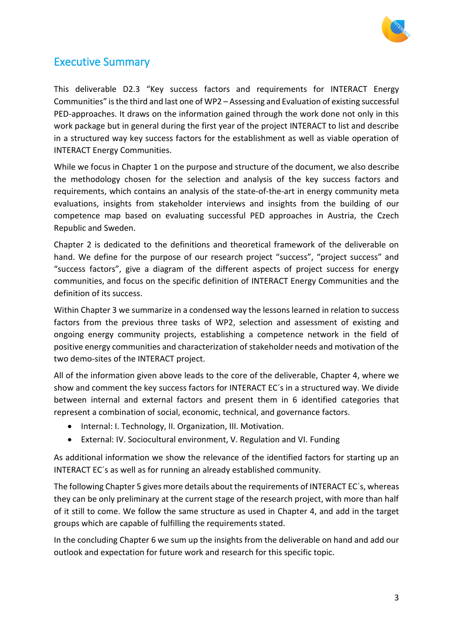

# <span id="page-2-0"></span>Executive Summary

This deliverable D2.3 "Key success factors and requirements for INTERACT Energy Communities" is the third and last one of WP2 – Assessing and Evaluation of existing successful PED-approaches. It draws on the information gained through the work done not only in this work package but in general during the first year of the project INTERACT to list and describe in a structured way key success factors for the establishment as well as viable operation of INTERACT Energy Communities.

While we focus in Chapter 1 on the purpose and structure of the document, we also describe the methodology chosen for the selection and analysis of the key success factors and requirements, which contains an analysis of the state-of-the-art in energy community meta evaluations, insights from stakeholder interviews and insights from the building of our competence map based on evaluating successful PED approaches in Austria, the Czech Republic and Sweden.

Chapter 2 is dedicated to the definitions and theoretical framework of the deliverable on hand. We define for the purpose of our research project "success", "project success" and "success factors", give a diagram of the different aspects of project success for energy communities, and focus on the specific definition of INTERACT Energy Communities and the definition of its success.

Within Chapter 3 we summarize in a condensed way the lessons learned in relation to success factors from the previous three tasks of WP2, selection and assessment of existing and ongoing energy community projects, establishing a competence network in the field of positive energy communities and characterization of stakeholder needs and motivation of the two demo-sites of the INTERACT project.

All of the information given above leads to the core of the deliverable, Chapter 4, where we show and comment the key success factors for INTERACT EC´s in a structured way. We divide between internal and external factors and present them in 6 identified categories that represent a combination of social, economic, technical, and governance factors.

- Internal: I. Technology, II. Organization, III. Motivation.
- External: IV. Sociocultural environment, V. Regulation and VI. Funding

As additional information we show the relevance of the identified factors for starting up an INTERACT EC´s as well as for running an already established community.

The following Chapter 5 gives more details about the requirements of INTERACT EC´s, whereas they can be only preliminary at the current stage of the research project, with more than half of it still to come. We follow the same structure as used in Chapter 4, and add in the target groups which are capable of fulfilling the requirements stated.

In the concluding Chapter 6 we sum up the insights from the deliverable on hand and add our outlook and expectation for future work and research for this specific topic.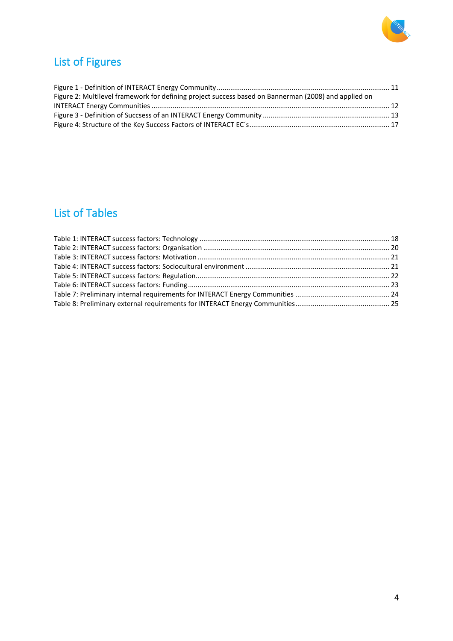

# <span id="page-3-0"></span>List of Figures

| Figure 2: Multilevel framework for defining project success based on Bannerman (2008) and applied on |  |
|------------------------------------------------------------------------------------------------------|--|
|                                                                                                      |  |
|                                                                                                      |  |
|                                                                                                      |  |

# <span id="page-3-1"></span>List of Tables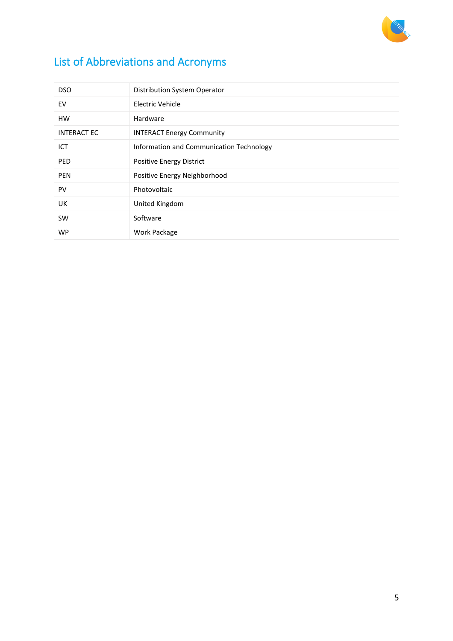

# List of Abbreviations and Acronyms

| <b>DSO</b>         | Distribution System Operator             |
|--------------------|------------------------------------------|
| EV                 | Electric Vehicle                         |
| <b>HW</b>          | Hardware                                 |
| <b>INTERACT EC</b> | <b>INTERACT Energy Community</b>         |
| ICT                | Information and Communication Technology |
| PED                | Positive Energy District                 |
| <b>PEN</b>         | Positive Energy Neighborhood             |
| PV                 | Photovoltaic                             |
| <b>UK</b>          | United Kingdom                           |
| <b>SW</b>          | Software                                 |
| <b>WP</b>          | Work Package                             |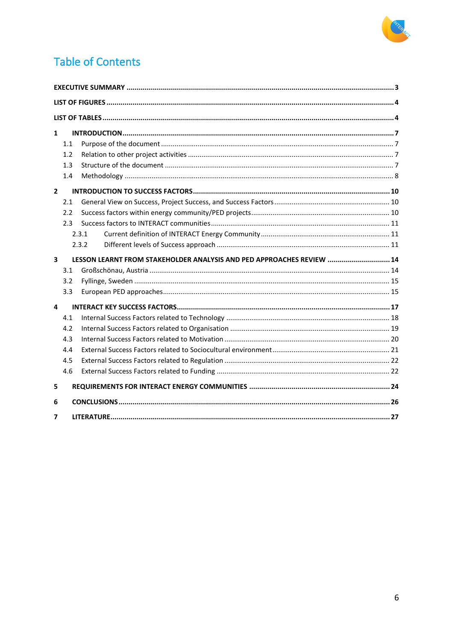

# **Table of Contents**

| $\mathbf{1}$            |     |                                                                       |  |
|-------------------------|-----|-----------------------------------------------------------------------|--|
|                         | 1.1 |                                                                       |  |
|                         | 1.2 |                                                                       |  |
|                         | 1.3 |                                                                       |  |
|                         | 1.4 |                                                                       |  |
| $\overline{2}$          |     |                                                                       |  |
|                         | 2.1 |                                                                       |  |
|                         | 2.2 |                                                                       |  |
|                         | 2.3 |                                                                       |  |
|                         |     | 2.3.1                                                                 |  |
|                         |     | 2.3.2                                                                 |  |
|                         |     |                                                                       |  |
| $\overline{\mathbf{3}}$ |     | LESSON LEARNT FROM STAKEHOLDER ANALYSIS AND PED APPROACHES REVIEW  14 |  |
|                         | 3.1 |                                                                       |  |
|                         | 3.2 |                                                                       |  |
|                         | 3.3 |                                                                       |  |
| 4                       |     |                                                                       |  |
|                         | 4.1 |                                                                       |  |
|                         | 4.2 |                                                                       |  |
|                         | 4.3 |                                                                       |  |
|                         | 4.4 |                                                                       |  |
|                         | 4.5 |                                                                       |  |
|                         | 4.6 |                                                                       |  |
| 5                       |     |                                                                       |  |
| 6                       |     |                                                                       |  |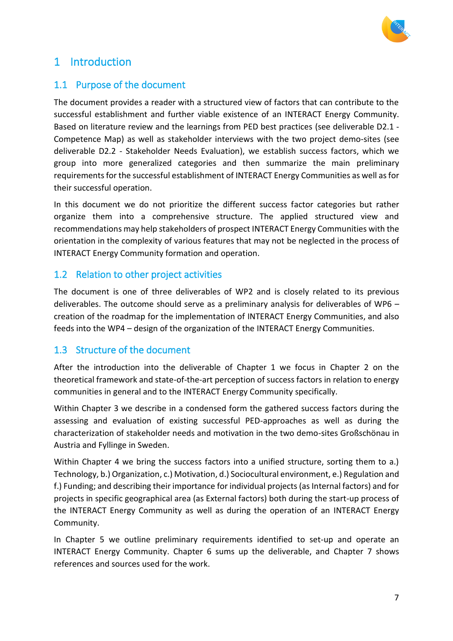

# <span id="page-6-0"></span>1 Introduction

### <span id="page-6-1"></span>1.1 Purpose of the document

The document provides a reader with a structured view of factors that can contribute to the successful establishment and further viable existence of an INTERACT Energy Community. Based on literature review and the learnings from PED best practices (see deliverable D2.1 - Competence Map) as well as stakeholder interviews with the two project demo-sites (see deliverable D2.2 - Stakeholder Needs Evaluation), we establish success factors, which we group into more generalized categories and then summarize the main preliminary requirements for the successful establishment of INTERACT Energy Communities as well as for their successful operation.

In this document we do not prioritize the different success factor categories but rather organize them into a comprehensive structure. The applied structured view and recommendations may help stakeholders of prospect INTERACT Energy Communities with the orientation in the complexity of various features that may not be neglected in the process of INTERACT Energy Community formation and operation.

### <span id="page-6-2"></span>1.2 Relation to other project activities

The document is one of three deliverables of WP2 and is closely related to its previous deliverables. The outcome should serve as a preliminary analysis for deliverables of WP6 – creation of the roadmap for the implementation of INTERACT Energy Communities, and also feeds into the WP4 – design of the organization of the INTERACT Energy Communities.

### <span id="page-6-3"></span>1.3 Structure of the document

After the introduction into the deliverable of Chapter 1 we focus in Chapter 2 on the theoretical framework and state-of-the-art perception of success factors in relation to energy communities in general and to the INTERACT Energy Community specifically.

Within Chapter 3 we describe in a condensed form the gathered success factors during the assessing and evaluation of existing successful PED-approaches as well as during the characterization of stakeholder needs and motivation in the two demo-sites Großschönau in Austria and Fyllinge in Sweden.

Within Chapter 4 we bring the success factors into a unified structure, sorting them to a.) Technology, b.) Organization, c.) Motivation, d.) Sociocultural environment, e.) Regulation and f.) Funding; and describing their importance for individual projects (as Internal factors) and for projects in specific geographical area (as External factors) both during the start-up process of the INTERACT Energy Community as well as during the operation of an INTERACT Energy Community.

In Chapter 5 we outline preliminary requirements identified to set-up and operate an INTERACT Energy Community. Chapter 6 sums up the deliverable, and Chapter 7 shows references and sources used for the work.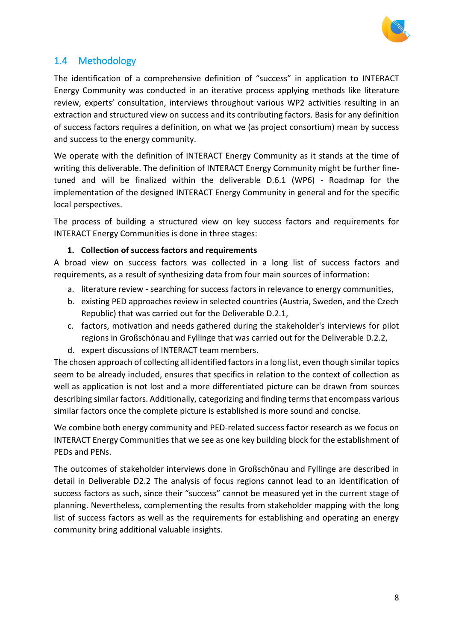

# <span id="page-7-0"></span>1.4 Methodology

The identification of a comprehensive definition of "success" in application to INTERACT Energy Community was conducted in an iterative process applying methods like literature review, experts' consultation, interviews throughout various WP2 activities resulting in an extraction and structured view on success and its contributing factors. Basis for any definition of success factors requires a definition, on what we (as project consortium) mean by success and success to the energy community.

We operate with the definition of INTERACT Energy Community as it stands at the time of writing this deliverable. The definition of INTERACT Energy Community might be further finetuned and will be finalized within the deliverable D.6.1 (WP6) - Roadmap for the implementation of the designed INTERACT Energy Community in general and for the specific local perspectives.

The process of building a structured view on key success factors and requirements for INTERACT Energy Communities is done in three stages:

#### **1. Collection of success factors and requirements**

A broad view on success factors was collected in a long list of success factors and requirements, as a result of synthesizing data from four main sources of information:

- a. literature review searching for success factors in relevance to energy communities,
- b. existing PED approaches review in selected countries (Austria, Sweden, and the Czech Republic) that was carried out for the Deliverable D.2.1,
- c. factors, motivation and needs gathered during the stakeholder's interviews for pilot regions in Großschönau and Fyllinge that was carried out for the Deliverable D.2.2,
- d. expert discussions of INTERACT team members.

The chosen approach of collecting all identified factorsin a long list, even though similar topics seem to be already included, ensures that specifics in relation to the context of collection as well as application is not lost and a more differentiated picture can be drawn from sources describing similar factors. Additionally, categorizing and finding terms that encompass various similar factors once the complete picture is established is more sound and concise.

We combine both energy community and PED-related success factor research as we focus on INTERACT Energy Communities that we see as one key building block for the establishment of PEDs and PENs.

The outcomes of stakeholder interviews done in Großschönau and Fyllinge are described in detail in Deliverable D2.2 The analysis of focus regions cannot lead to an identification of success factors as such, since their "success" cannot be measured yet in the current stage of planning. Nevertheless, complementing the results from stakeholder mapping with the long list of success factors as well as the requirements for establishing and operating an energy community bring additional valuable insights.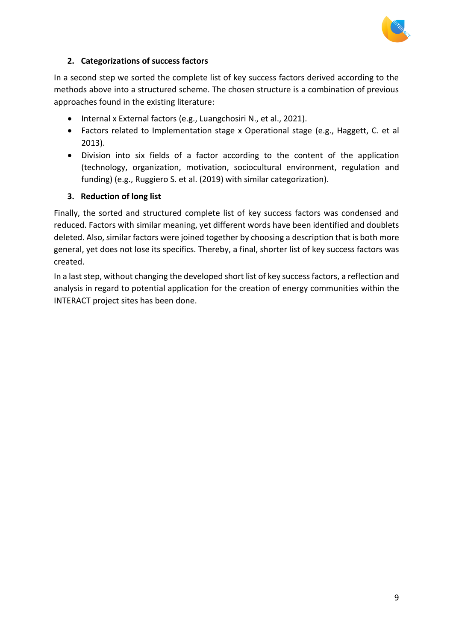

#### **2. Categorizations of success factors**

In a second step we sorted the complete list of key success factors derived according to the methods above into a structured scheme. The chosen structure is a combination of previous approaches found in the existing literature:

- Internal x External factors (e.g., Luangchosiri N., et al., 2021).
- Factors related to Implementation stage x Operational stage (e.g., Haggett, C. et al 2013).
- Division into six fields of a factor according to the content of the application (technology, organization, motivation, sociocultural environment, regulation and funding) (e.g., Ruggiero S. et al. (2019) with similar categorization).

#### **3. Reduction of long list**

Finally, the sorted and structured complete list of key success factors was condensed and reduced. Factors with similar meaning, yet different words have been identified and doublets deleted. Also, similar factors were joined together by choosing a description that is both more general, yet does not lose its specifics. Thereby, a final, shorter list of key success factors was created.

In a last step, without changing the developed short list of key success factors, a reflection and analysis in regard to potential application for the creation of energy communities within the INTERACT project sites has been done.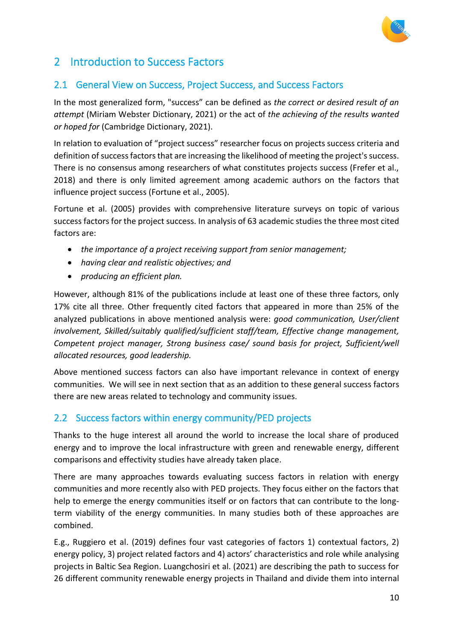

# <span id="page-9-0"></span>2 Introduction to Success Factors

## <span id="page-9-1"></span>2.1 General View on Success, Project Success, and Success Factors

In the most generalized form, "success" can be defined as *the correct or desired result of an attempt* (Miriam Webster Dictionary, 2021) or the act of *the achieving of the results wanted or hoped for* (Cambridge Dictionary, 2021).

In relation to evaluation of "project success" researcher focus on projects success criteria and definition of success factors that are increasing the likelihood of meeting the project's success. There is no consensus among researchers of what constitutes projects success (Frefer et al., 2018) and there is only limited agreement among academic authors on the factors that influence project success (Fortune et al., 2005).

Fortune et al. (2005) provides with comprehensive literature surveys on topic of various success factors for the project success. In analysis of 63 academic studies the three most cited factors are:

- *the importance of a project receiving support from senior management;*
- *having clear and realistic objectives; and*
- *producing an efficient plan.*

However, although 81% of the publications include at least one of these three factors, only 17% cite all three. Other frequently cited factors that appeared in more than 25% of the analyzed publications in above mentioned analysis were: *good communication, User/client involvement, Skilled/suitably qualified/sufficient staff/team, Effective change management, Competent project manager, Strong business case/ sound basis for project, Sufficient/well allocated resources, good leadership.*

Above mentioned success factors can also have important relevance in context of energy communities. We will see in next section that as an addition to these general success factors there are new areas related to technology and community issues.

### <span id="page-9-2"></span>2.2 Success factors within energy community/PED projects

Thanks to the huge interest all around the world to increase the local share of produced energy and to improve the local infrastructure with green and renewable energy, different comparisons and effectivity studies have already taken place.

There are many approaches towards evaluating success factors in relation with energy communities and more recently also with PED projects. They focus either on the factors that help to emerge the energy communities itself or on factors that can contribute to the longterm viability of the energy communities. In many studies both of these approaches are combined.

E.g., Ruggiero et al. (2019) defines four vast categories of factors 1) contextual factors, 2) energy policy, 3) project related factors and 4) actors' characteristics and role while analysing projects in Baltic Sea Region. Luangchosiri et al. (2021) are describing the path to success for 26 different community renewable energy projects in Thailand and divide them into internal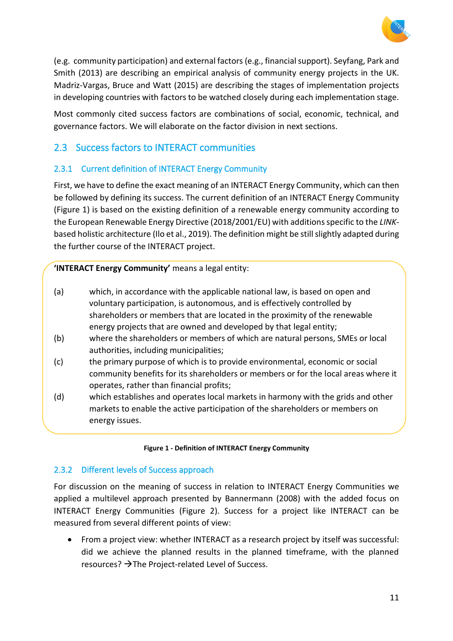

(e.g. community participation) and external factors (e.g., financial support). Seyfang, Park and Smith (2013) are describing an empirical analysis of community energy projects in the UK. Madriz-Vargas, Bruce and Watt (2015) are describing the stages of implementation projects in developing countries with factors to be watched closely during each implementation stage.

Most commonly cited success factors are combinations of social, economic, technical, and governance factors. We will elaborate on the factor division in next sections.

### <span id="page-10-0"></span>2.3 Success factors to INTERACT communities

### <span id="page-10-1"></span>2.3.1 Current definition of INTERACT Energy Community

First, we have to define the exact meaning of an INTERACT Energy Community, which can then be followed by defining its success. The current definition of an INTERACT Energy Community [\(Figure 1\)](#page-10-3) is based on the existing definition of a renewable energy community according to the European Renewable Energy Directive (2018/2001/EU) with additions specific to the *LINK*based holistic architecture (Ilo et al., 2019). The definition might be still slightly adapted during the further course of the INTERACT project.

**'INTERACT Energy Community'** means a legal entity:

- (a) which, in accordance with the applicable national law, is based on open and voluntary participation, is autonomous, and is effectively controlled by shareholders or members that are located in the proximity of the renewable energy projects that are owned and developed by that legal entity;
- (b) where the shareholders or members of which are natural persons, SMEs or local authorities, including municipalities;
- (c) the primary purpose of which is to provide environmental, economic or social community benefits for its shareholders or members or for the local areas where it operates, rather than financial profits;
- (d) which establishes and operates local markets in harmony with the grids and other markets to enable the active participation of the shareholders or members on energy issues.

#### **Figure 1 - Definition of INTERACT Energy Community**

#### <span id="page-10-3"></span><span id="page-10-2"></span>2.3.2 Different levels of Success approach

For discussion on the meaning of success in relation to INTERACT Energy Communities we applied a multilevel approach presented by Bannermann (2008) with the added focus on INTERACT Energy Communities [\(Figure 2\)](#page-11-0). Success for a project like INTERACT can be measured from several different points of view:

• From a project view: whether INTERACT as a research project by itself was successful: did we achieve the planned results in the planned timeframe, with the planned resources?  $\rightarrow$ The Project-related Level of Success.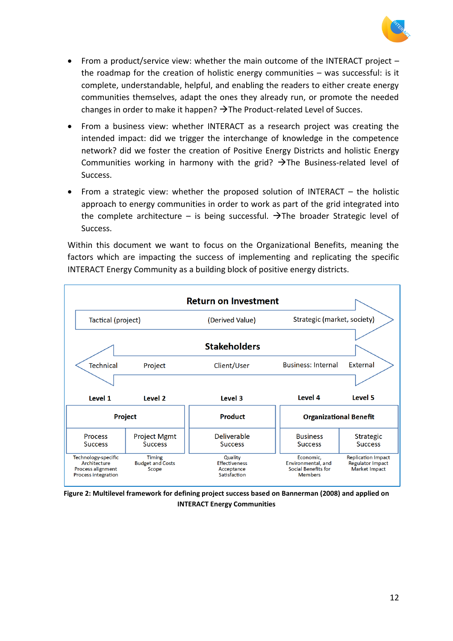

- From a product/service view: whether the main outcome of the INTERACT project the roadmap for the creation of holistic energy communities – was successful: is it complete, understandable, helpful, and enabling the readers to either create energy communities themselves, adapt the ones they already run, or promote the needed changes in order to make it happen?  $\rightarrow$  The Product-related Level of Succes.
- From a business view: whether INTERACT as a research project was creating the intended impact: did we trigger the interchange of knowledge in the competence network? did we foster the creation of Positive Energy Districts and holistic Energy Communities working in harmony with the grid?  $\rightarrow$  The Business-related level of Success.
- From a strategic view: whether the proposed solution of INTERACT the holistic approach to energy communities in order to work as part of the grid integrated into the complete architecture – is being successful.  $\rightarrow$  The broader Strategic level of Success.

Within this document we want to focus on the Organizational Benefits, meaning the factors which are impacting the success of implementing and replicating the specific INTERACT Energy Community as a building block of positive energy districts.



<span id="page-11-0"></span>**Figure 2: Multilevel framework for defining project success based on Bannerman (2008) and applied on INTERACT Energy Communities**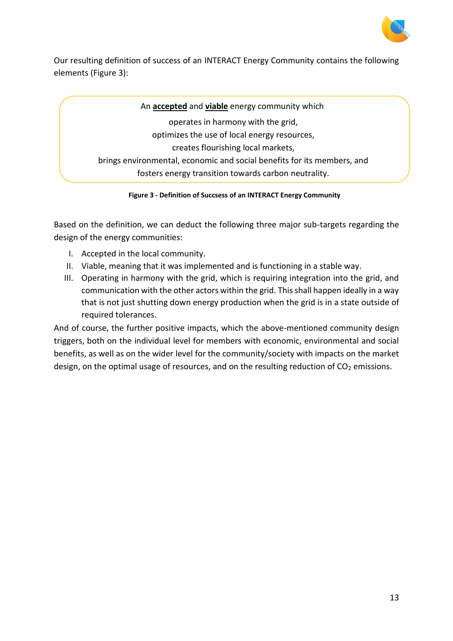

Our resulting definition of success of an INTERACT Energy Community contains the following elements (Figure 3):

An **accepted** and **viable** energy community which operates in harmony with the grid, optimizes the use of local energy resources, creates flourishing local markets, brings environmental, economic and social benefits for its members, and fosters energy transition towards carbon neutrality.

**Figure 3 - Definition of Succsess of an INTERACT Energy Community**

Based on the definition, we can deduct the following three major sub-targets regarding the design of the energy communities:

- I. Accepted in the local community.
- II. Viable, meaning that it was implemented and is functioning in a stable way.
- III. Operating in harmony with the grid, which is requiring integration into the grid, and communication with the other actors within the grid. This shall happen ideally in a way that is not just shutting down energy production when the grid is in a state outside of required tolerances.

And of course, the further positive impacts, which the above-mentioned community design triggers, both on the individual level for members with economic, environmental and social benefits, as well as on the wider level for the community/society with impacts on the market design, on the optimal usage of resources, and on the resulting reduction of  $CO<sub>2</sub>$  emissions.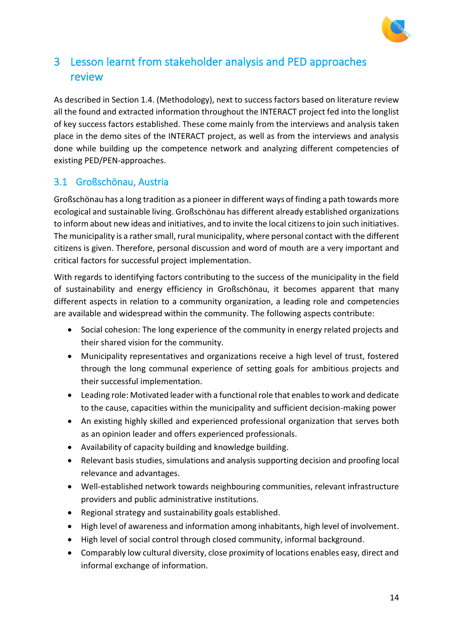

# <span id="page-13-0"></span>3 Lesson learnt from stakeholder analysis and PED approaches review

As described in Section 1.4. (Methodology), next to success factors based on literature review all the found and extracted information throughout the INTERACT project fed into the longlist of key success factors established. These come mainly from the interviews and analysis taken place in the demo sites of the INTERACT project, as well as from the interviews and analysis done while building up the competence network and analyzing different competencies of existing PED/PEN-approaches.

## <span id="page-13-1"></span>3.1 Großschönau, Austria

Großschönau has a long tradition as a pioneer in different ways of finding a path towards more ecological and sustainable living. Großschönau has different already established organizations to inform about new ideas and initiatives, and to invite the local citizens to join such initiatives. The municipality is a rather small, rural municipality, where personal contact with the different citizens is given. Therefore, personal discussion and word of mouth are a very important and critical factors for successful project implementation.

With regards to identifying factors contributing to the success of the municipality in the field of sustainability and energy efficiency in Großschönau, it becomes apparent that many different aspects in relation to a community organization, a leading role and competencies are available and widespread within the community. The following aspects contribute:

- Social cohesion: The long experience of the community in energy related projects and their shared vision for the community.
- Municipality representatives and organizations receive a high level of trust, fostered through the long communal experience of setting goals for ambitious projects and their successful implementation.
- Leading role: Motivated leader with a functional role that enables to work and dedicate to the cause, capacities within the municipality and sufficient decision-making power
- An existing highly skilled and experienced professional organization that serves both as an opinion leader and offers experienced professionals.
- Availability of capacity building and knowledge building.
- Relevant basis studies, simulations and analysis supporting decision and proofing local relevance and advantages.
- Well-established network towards neighbouring communities, relevant infrastructure providers and public administrative institutions.
- Regional strategy and sustainability goals established.
- High level of awareness and information among inhabitants, high level of involvement.
- High level of social control through closed community, informal background.
- Comparably low cultural diversity, close proximity of locations enables easy, direct and informal exchange of information.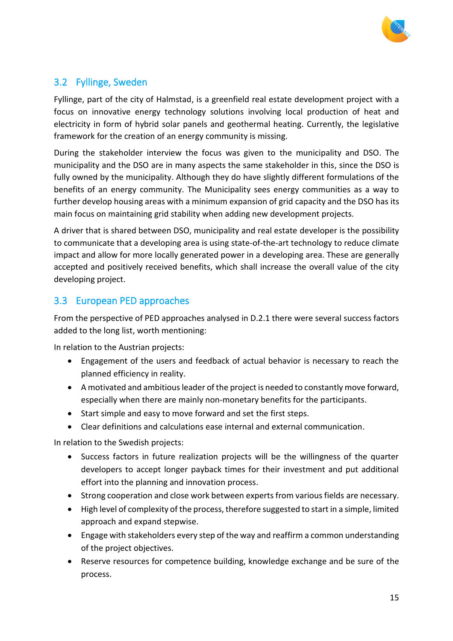

### <span id="page-14-0"></span>3.2 Fyllinge, Sweden

Fyllinge, part of the city of Halmstad, is a greenfield real estate development project with a focus on innovative energy technology solutions involving local production of heat and electricity in form of hybrid solar panels and geothermal heating. Currently, the legislative framework for the creation of an energy community is missing.

During the stakeholder interview the focus was given to the municipality and DSO. The municipality and the DSO are in many aspects the same stakeholder in this, since the DSO is fully owned by the municipality. Although they do have slightly different formulations of the benefits of an energy community. The Municipality sees energy communities as a way to further develop housing areas with a minimum expansion of grid capacity and the DSO has its main focus on maintaining grid stability when adding new development projects.

A driver that is shared between DSO, municipality and real estate developer is the possibility to communicate that a developing area is using state-of-the-art technology to reduce climate impact and allow for more locally generated power in a developing area. These are generally accepted and positively received benefits, which shall increase the overall value of the city developing project.

## <span id="page-14-1"></span>3.3 European PED approaches

From the perspective of PED approaches analysed in D.2.1 there were several success factors added to the long list, worth mentioning:

In relation to the Austrian projects:

- Engagement of the users and feedback of actual behavior is necessary to reach the planned efficiency in reality.
- A motivated and ambitious leader of the project is needed to constantly move forward, especially when there are mainly non-monetary benefits for the participants.
- Start simple and easy to move forward and set the first steps.
- Clear definitions and calculations ease internal and external communication.

In relation to the Swedish projects:

- Success factors in future realization projects will be the willingness of the quarter developers to accept longer payback times for their investment and put additional effort into the planning and innovation process.
- Strong cooperation and close work between experts from various fields are necessary.
- High level of complexity of the process, therefore suggested to start in a simple, limited approach and expand stepwise.
- Engage with stakeholders every step of the way and reaffirm a common understanding of the project objectives.
- Reserve resources for competence building, knowledge exchange and be sure of the process.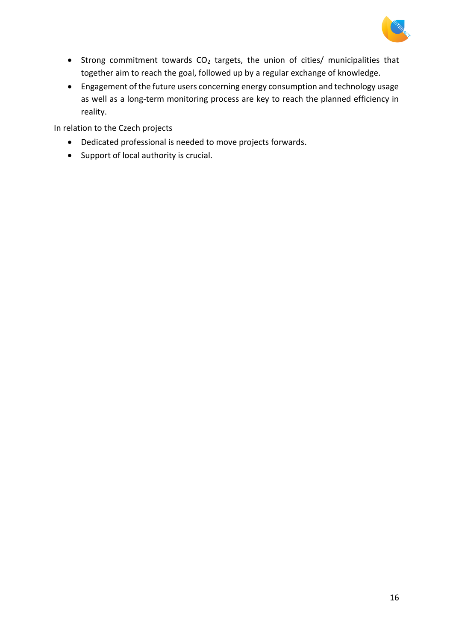

- Strong commitment towards  $CO<sub>2</sub>$  targets, the union of cities/ municipalities that together aim to reach the goal, followed up by a regular exchange of knowledge.
- Engagement of the future users concerning energy consumption and technology usage as well as a long-term monitoring process are key to reach the planned efficiency in reality.

In relation to the Czech projects

- Dedicated professional is needed to move projects forwards.
- Support of local authority is crucial.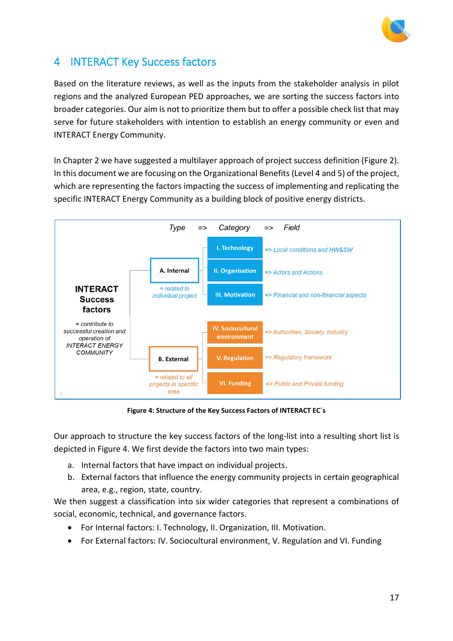

# <span id="page-16-1"></span>4 INTERACT Key Success factors

Based on the literature reviews, as well as the inputs from the stakeholder analysis in pilot regions and the analyzed European PED approaches, we are sorting the success factors into broader categories. Our aim is not to prioritize them but to offer a possible check list that may serve for future stakeholders with intention to establish an energy community or even and INTERACT Energy Community.

In Chapter 2 we have suggested a multilayer approach of project success definition [\(Figure 2\)](#page-11-0). In this document we are focusing on the Organizational Benefits (Level 4 and 5) of the project, which are representing the factors impacting the success of implementing and replicating the specific INTERACT Energy Community as a building block of positive energy districts.



**Figure 4: Structure of the Key Success Factors of INTERACT EC´s**

<span id="page-16-0"></span>Our approach to structure the key success factors of the long-list into a resulting short list is depicted in [Figure 4.](#page-16-0) We first devide the factors into two main types:

- a. Internal factors that have impact on individual projects.
- b. External factors that influence the energy community projects in certain geographical area, e.g., region, state, country.

We then suggest a classification into six wider categories that represent a combinations of social, economic, technical, and governance factors.

- For Internal factors: I. Technology, II. Organization, III. Motivation.
- For External factors: IV. Sociocultural environment, V. Regulation and VI. Funding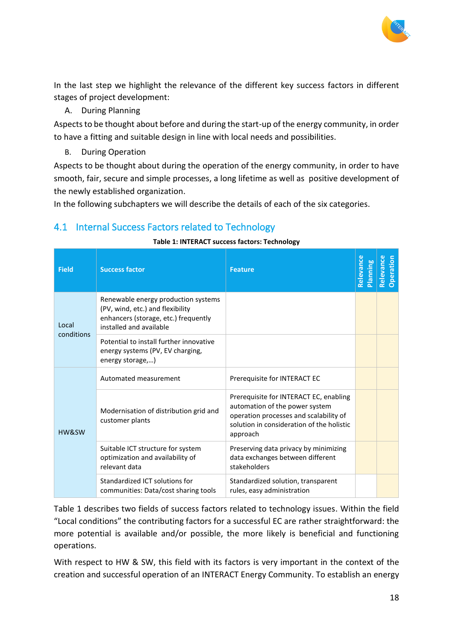

In the last step we highlight the relevance of the different key success factors in different stages of project development:

A. During Planning

Aspects to be thought about before and during the start-up of the energy community, in order to have a fitting and suitable design in line with local needs and possibilities.

B. During Operation

Aspects to be thought about during the operation of the energy community, in order to have smooth, fair, secure and simple processes, a long lifetime as well as positive development of the newly established organization.

In the following subchapters we will describe the details of each of the six categories.

# <span id="page-17-1"></span>4.1 Internal Success Factors related to Technology

#### **Table 1: INTERACT success factors: Technology**

<span id="page-17-0"></span>

| <b>Field</b> | <b>Success factor</b>                                                                                                                      | <b>Feature</b>                                                                                                                                                              | Relevance<br>Planning | Relevance<br>Operation |
|--------------|--------------------------------------------------------------------------------------------------------------------------------------------|-----------------------------------------------------------------------------------------------------------------------------------------------------------------------------|-----------------------|------------------------|
| Local        | Renewable energy production systems<br>(PV, wind, etc.) and flexibility<br>enhancers (storage, etc.) frequently<br>installed and available |                                                                                                                                                                             |                       |                        |
| conditions   | Potential to install further innovative<br>energy systems (PV, EV charging,<br>energy storage,)                                            |                                                                                                                                                                             |                       |                        |
| HW&SW        | Automated measurement                                                                                                                      | Prerequisite for INTERACT EC                                                                                                                                                |                       |                        |
|              | Modernisation of distribution grid and<br>customer plants                                                                                  | Prerequisite for INTERACT EC, enabling<br>automation of the power system<br>operation processes and scalability of<br>solution in consideration of the holistic<br>approach |                       |                        |
|              | Suitable ICT structure for system<br>optimization and availability of<br>relevant data                                                     | Preserving data privacy by minimizing<br>data exchanges between different<br>stakeholders                                                                                   |                       |                        |
|              | Standardized ICT solutions for<br>communities: Data/cost sharing tools                                                                     | Standardized solution, transparent<br>rules, easy administration                                                                                                            |                       |                        |

Table 1 describes two fields of success factors related to technology issues. Within the field "Local conditions" the contributing factors for a successful EC are rather straightforward: the more potential is available and/or possible, the more likely is beneficial and functioning operations.

With respect to HW & SW, this field with its factors is very important in the context of the creation and successful operation of an INTERACT Energy Community. To establish an energy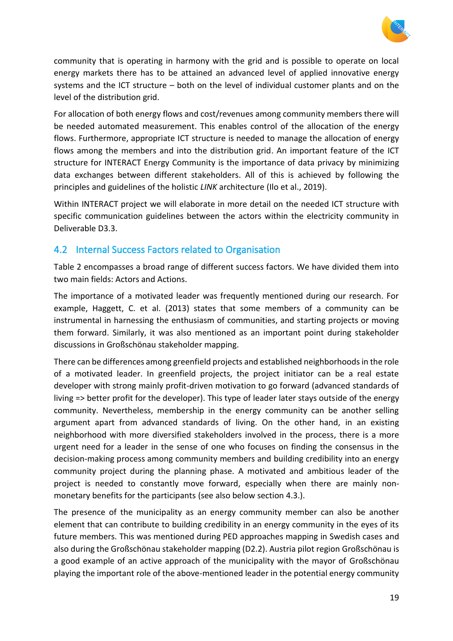

community that is operating in harmony with the grid and is possible to operate on local energy markets there has to be attained an advanced level of applied innovative energy systems and the ICT structure – both on the level of individual customer plants and on the level of the distribution grid.

For allocation of both energy flows and cost/revenues among community members there will be needed automated measurement. This enables control of the allocation of the energy flows. Furthermore, appropriate ICT structure is needed to manage the allocation of energy flows among the members and into the distribution grid. An important feature of the ICT structure for INTERACT Energy Community is the importance of data privacy by minimizing data exchanges between different stakeholders. All of this is achieved by following the principles and guidelines of the holistic *LINK* architecture (Ilo et al., 2019).

Within INTERACT project we will elaborate in more detail on the needed ICT structure with specific communication guidelines between the actors within the electricity community in Deliverable D3.3.

### <span id="page-18-0"></span>4.2 Internal Success Factors related to Organisation

Table 2 encompasses a broad range of different success factors. We have divided them into two main fields: Actors and Actions.

The importance of a motivated leader was frequently mentioned during our research. For example, Haggett, C. et al. (2013) states that some members of a community can be instrumental in harnessing the enthusiasm of communities, and starting projects or moving them forward. Similarly, it was also mentioned as an important point during stakeholder discussions in Großschönau stakeholder mapping.

There can be differences among greenfield projects and established neighborhoods in the role of a motivated leader. In greenfield projects, the project initiator can be a real estate developer with strong mainly profit-driven motivation to go forward (advanced standards of living => better profit for the developer). This type of leader later stays outside of the energy community. Nevertheless, membership in the energy community can be another selling argument apart from advanced standards of living. On the other hand, in an existing neighborhood with more diversified stakeholders involved in the process, there is a more urgent need for a leader in the sense of one who focuses on finding the consensus in the decision-making process among community members and building credibility into an energy community project during the planning phase. A motivated and ambitious leader of the project is needed to constantly move forward, especially when there are mainly nonmonetary benefits for the participants (see also below section 4.3.).

The presence of the municipality as an energy community member can also be another element that can contribute to building credibility in an energy community in the eyes of its future members. This was mentioned during PED approaches mapping in Swedish cases and also during the Großschönau stakeholder mapping (D2.2). Austria pilot region Großschönau is a good example of an active approach of the municipality with the mayor of Großschönau playing the important role of the above-mentioned leader in the potential energy community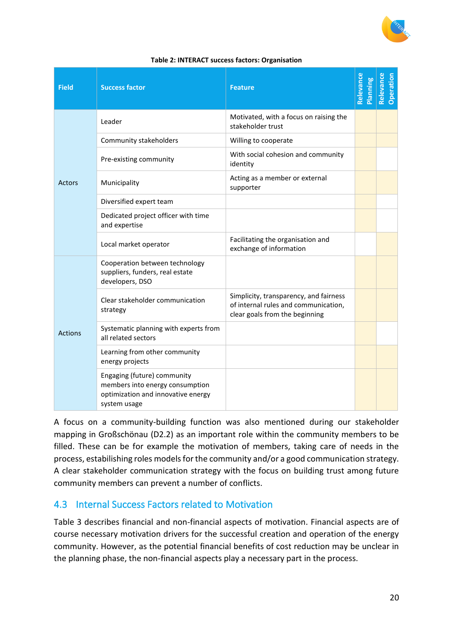

<span id="page-19-0"></span>

| <b>Field</b>   | <b>Success factor</b>                                                                                                | <b>Feature</b>                                                                                                   | Relevance<br><b>Planning</b> | Relevance<br>Operation |
|----------------|----------------------------------------------------------------------------------------------------------------------|------------------------------------------------------------------------------------------------------------------|------------------------------|------------------------|
|                | Leader                                                                                                               | Motivated, with a focus on raising the<br>stakeholder trust                                                      |                              |                        |
|                | Community stakeholders                                                                                               | Willing to cooperate                                                                                             |                              |                        |
|                | Pre-existing community                                                                                               | With social cohesion and community<br>identity                                                                   |                              |                        |
| <b>Actors</b>  | Municipality                                                                                                         | Acting as a member or external<br>supporter                                                                      |                              |                        |
|                | Diversified expert team                                                                                              |                                                                                                                  |                              |                        |
|                | Dedicated project officer with time<br>and expertise                                                                 |                                                                                                                  |                              |                        |
|                | Local market operator                                                                                                | Facilitating the organisation and<br>exchange of information                                                     |                              |                        |
|                | Cooperation between technology<br>suppliers, funders, real estate<br>developers, DSO                                 |                                                                                                                  |                              |                        |
|                | Clear stakeholder communication<br>strategy                                                                          | Simplicity, transparency, and fairness<br>of internal rules and communication,<br>clear goals from the beginning |                              |                        |
| <b>Actions</b> | Systematic planning with experts from<br>all related sectors                                                         |                                                                                                                  |                              |                        |
|                | Learning from other community<br>energy projects                                                                     |                                                                                                                  |                              |                        |
|                | Engaging (future) community<br>members into energy consumption<br>optimization and innovative energy<br>system usage |                                                                                                                  |                              |                        |

#### **Table 2: INTERACT success factors: Organisation**

A focus on a community-building function was also mentioned during our stakeholder mapping in Großschönau (D2.2) as an important role within the community members to be filled. These can be for example the motivation of members, taking care of needs in the process, estabilishing roles models for the community and/or a good communication strategy. A clear stakeholder communication strategy with the focus on building trust among future community members can prevent a number of conflicts.

### <span id="page-19-1"></span>4.3 Internal Success Factors related to Motivation

[Table 3](#page-20-0) describes financial and non-financial aspects of motivation. Financial aspects are of course necessary motivation drivers for the successful creation and operation of the energy community. However, as the potential financial benefits of cost reduction may be unclear in the planning phase, the non-financial aspects play a necessary part in the process.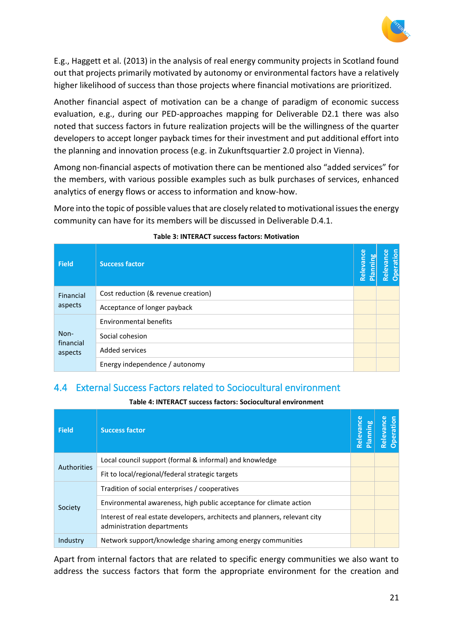

E.g., Haggett et al. (2013) in the analysis of real energy community projects in Scotland found out that projects primarily motivated by autonomy or environmental factors have a relatively higher likelihood of success than those projects where financial motivations are prioritized.

Another financial aspect of motivation can be a change of paradigm of economic success evaluation, e.g., during our PED-approaches mapping for Deliverable D2.1 there was also noted that success factors in future realization projects will be the willingness of the quarter developers to accept longer payback times for their investment and put additional effort into the planning and innovation process (e.g. in Zukunftsquartier 2.0 project in Vienna).

Among non-financial aspects of motivation there can be mentioned also "added services" for the members, with various possible examples such as bulk purchases of services, enhanced analytics of energy flows or access to information and know-how.

More into the topic of possible values that are closely related to motivational issues the energy community can have for its members will be discussed in Deliverable D.4.1.

<span id="page-20-0"></span>

| <b>Field</b>      | <b>Success factor</b>               | Relevance | ЪO<br>Plannin | Relevance<br>Operation |
|-------------------|-------------------------------------|-----------|---------------|------------------------|
| Financial         | Cost reduction (& revenue creation) |           |               |                        |
| aspects           | Acceptance of longer payback        |           |               |                        |
|                   | <b>Environmental benefits</b>       |           |               |                        |
| Non-<br>financial | Social cohesion                     |           |               |                        |
| aspects           | Added services                      |           |               |                        |
|                   | Energy independence / autonomy      |           |               |                        |

#### **Table 3: INTERACT success factors: Motivation**

### <span id="page-20-2"></span>4.4 External Success Factors related to Sociocultural environment

**Table 4: INTERACT success factors: Sociocultural environment**

<span id="page-20-1"></span>

| <b>Field</b>       | <b>Success factor</b>                                                                                    | Relevance<br><b>Planning</b> | Relevanc<br>Operation |
|--------------------|----------------------------------------------------------------------------------------------------------|------------------------------|-----------------------|
| <b>Authorities</b> | Local council support (formal & informal) and knowledge                                                  |                              |                       |
|                    | Fit to local/regional/federal strategic targets                                                          |                              |                       |
|                    | Tradition of social enterprises / cooperatives                                                           |                              |                       |
| Society            | Environmental awareness, high public acceptance for climate action                                       |                              |                       |
|                    | Interest of real estate developers, architects and planners, relevant city<br>administration departments |                              |                       |
| Industry           | Network support/knowledge sharing among energy communities                                               |                              |                       |

Apart from internal factors that are related to specific energy communities we also want to address the success factors that form the appropriate environment for the creation and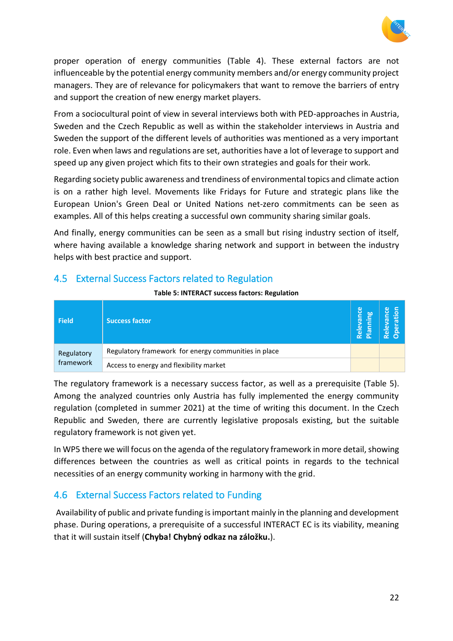

proper operation of energy communities [\(Table 4\)](#page-20-1). These external factors are not influenceable by the potential energy community members and/or energy community project managers. They are of relevance for policymakers that want to remove the barriers of entry and support the creation of new energy market players.

From a sociocultural point of view in several interviews both with PED-approaches in Austria, Sweden and the Czech Republic as well as within the stakeholder interviews in Austria and Sweden the support of the different levels of authorities was mentioned as a very important role. Even when laws and regulations are set, authorities have a lot of leverage to support and speed up any given project which fits to their own strategies and goals for their work.

Regarding society public awareness and trendiness of environmental topics and climate action is on a rather high level. Movements like Fridays for Future and strategic plans like the European Union's Green Deal or United Nations net-zero commitments can be seen as examples. All of this helps creating a successful own community sharing similar goals.

And finally, energy communities can be seen as a small but rising industry section of itself, where having available a knowledge sharing network and support in between the industry helps with best practice and support.

### <span id="page-21-1"></span><span id="page-21-0"></span>4.5 External Success Factors related to Regulation

| Table 5: INTERACT success factors: Regulation |  |  |
|-----------------------------------------------|--|--|
|-----------------------------------------------|--|--|

| <b>Field</b>            | <b>Success factor</b>                                | rance<br>ling<br><b>Pley</b><br>i el | $\frac{1}{\alpha}$ |
|-------------------------|------------------------------------------------------|--------------------------------------|--------------------|
| Regulatory<br>framework | Regulatory framework for energy communities in place |                                      |                    |
|                         | Access to energy and flexibility market              |                                      |                    |

The regulatory framework is a necessary success factor, as well as a prerequisite [\(Table 5\)](#page-21-0). Among the analyzed countries only Austria has fully implemented the energy community regulation (completed in summer 2021) at the time of writing this document. In the Czech Republic and Sweden, there are currently legislative proposals existing, but the suitable regulatory framework is not given yet.

In WP5 there we will focus on the agenda of the regulatory framework in more detail, showing differences between the countries as well as critical points in regards to the technical necessities of an energy community working in harmony with the grid.

## <span id="page-21-2"></span>4.6 External Success Factors related to Funding

Availability of public and private funding is important mainly in the planning and development phase. During operations, a prerequisite of a successful INTERACT EC is its viability, meaning that it will sustain itself (**Chyba! Chybný odkaz na záložku.**).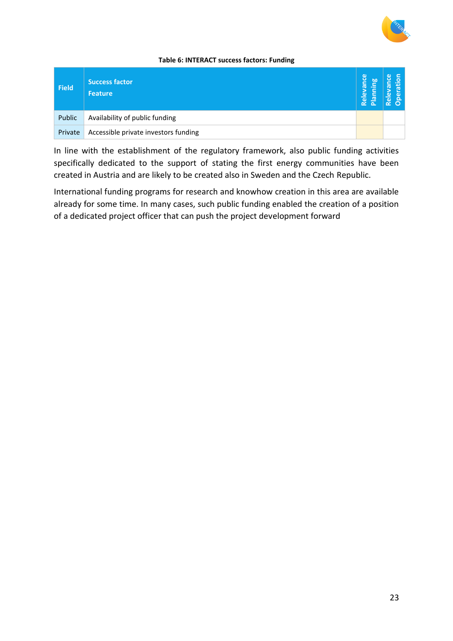

#### **Table 6: INTERACT success factors: Funding**

<span id="page-22-0"></span>

| Field   | <b>Success factor</b><br><b>Feature</b> | Relevance<br>ஜ<br>$\mathbf{S}$<br>$\overline{\mathbf{c}}$ | o.<br>ಗ<br><u>ة</u><br>$\omega$<br>ō.<br>C |
|---------|-----------------------------------------|-----------------------------------------------------------|--------------------------------------------|
| Public  | Availability of public funding          |                                                           |                                            |
| Private | Accessible private investors funding    |                                                           |                                            |

In line with the establishment of the regulatory framework, also public funding activities specifically dedicated to the support of stating the first energy communities have been created in Austria and are likely to be created also in Sweden and the Czech Republic.

International funding programs for research and knowhow creation in this area are available already for some time. In many cases, such public funding enabled the creation of a position of a dedicated project officer that can push the project development forward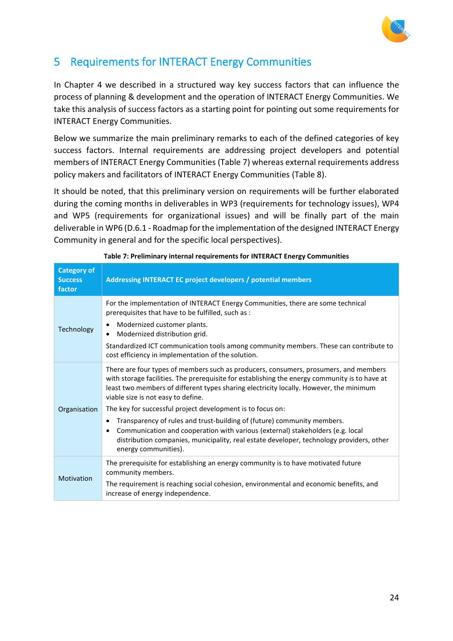

# <span id="page-23-1"></span>5 Requirements for INTERACT Energy Communities

In Chapter 4 we described in a structured way key success factors that can influence the process of planning & development and the operation of INTERACT Energy Communities. We take this analysis of success factors as a starting point for pointing out some requirements for INTERACT Energy Communities.

Below we summarize the main preliminary remarks to each of the defined categories of key success factors. Internal requirements are addressing project developers and potential members of INTERACT Energy Communities [\(Table 7\)](#page-23-0) whereas external requirements address policy makers and facilitators of INTERACT Energy Communities [\(Table 8\)](#page-24-0).

It should be noted, that this preliminary version on requirements will be further elaborated during the coming months in deliverables in WP3 (requirements for technology issues), WP4 and WP5 (requirements for organizational issues) and will be finally part of the main deliverable in WP6 (D.6.1 - Roadmap for the implementation of the designed INTERACT Energy Community in general and for the specific local perspectives).

<span id="page-23-0"></span>

| <b>Category of</b><br><b>Success</b><br>factor | Addressing INTERACT EC project developers / potential members                                                                                                                                                                                                                                                                                                                       |  |
|------------------------------------------------|-------------------------------------------------------------------------------------------------------------------------------------------------------------------------------------------------------------------------------------------------------------------------------------------------------------------------------------------------------------------------------------|--|
| Technology                                     | For the implementation of INTERACT Energy Communities, there are some technical<br>prerequisites that have to be fulfilled, such as :<br>Modernized customer plants.<br>Modernized distribution grid.<br>Standardized ICT communication tools among community members. These can contribute to<br>cost efficiency in implementation of the solution.                                |  |
| Organisation                                   | There are four types of members such as producers, consumers, prosumers, and members<br>with storage facilities. The prerequisite for establishing the energy community is to have at<br>least two members of different types sharing electricity locally. However, the minimum<br>viable size is not easy to define.<br>The key for successful project development is to focus on: |  |
|                                                | Transparency of rules and trust-building of (future) community members.<br>٠<br>Communication and cooperation with various (external) stakeholders (e.g. local<br>٠<br>distribution companies, municipality, real estate developer, technology providers, other<br>energy communities).                                                                                             |  |
| Motivation                                     | The prerequisite for establishing an energy community is to have motivated future<br>community members.<br>The requirement is reaching social cohesion, environmental and economic benefits, and<br>increase of energy independence.                                                                                                                                                |  |

**Table 7: Preliminary internal requirements for INTERACT Energy Communities**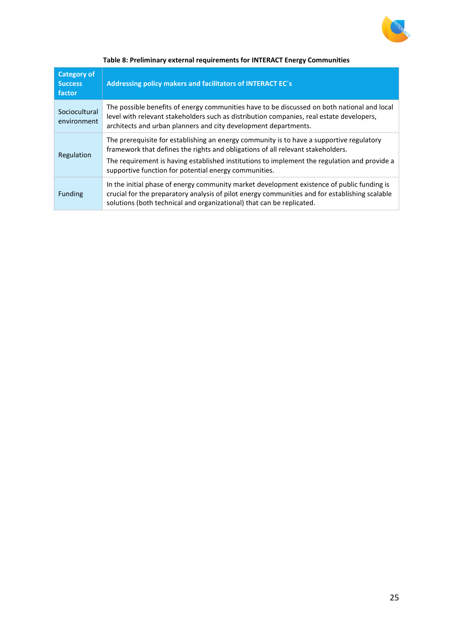

<span id="page-24-0"></span>

| <b>Category of</b><br><b>Success</b><br>factor | Addressing policy makers and facilitators of INTERACT EC's                                                                                                                                                                                                                                                                           |  |
|------------------------------------------------|--------------------------------------------------------------------------------------------------------------------------------------------------------------------------------------------------------------------------------------------------------------------------------------------------------------------------------------|--|
| Sociocultural<br>environment                   | The possible benefits of energy communities have to be discussed on both national and local<br>level with relevant stakeholders such as distribution companies, real estate developers,<br>architects and urban planners and city development departments.                                                                           |  |
| Regulation                                     | The prerequisite for establishing an energy community is to have a supportive regulatory<br>framework that defines the rights and obligations of all relevant stakeholders.<br>The requirement is having established institutions to implement the regulation and provide a<br>supportive function for potential energy communities. |  |
| <b>Funding</b>                                 | In the initial phase of energy community market development existence of public funding is<br>crucial for the preparatory analysis of pilot energy communities and for establishing scalable<br>solutions (both technical and organizational) that can be replicated.                                                                |  |

#### **Table 8: Preliminary external requirements for INTERACT Energy Communities**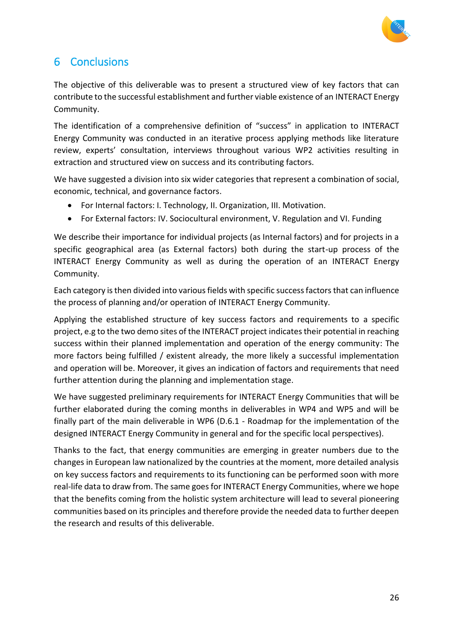

# <span id="page-25-0"></span>6 Conclusions

The objective of this deliverable was to present a structured view of key factors that can contribute to the successful establishment and further viable existence of an INTERACT Energy Community.

The identification of a comprehensive definition of "success" in application to INTERACT Energy Community was conducted in an iterative process applying methods like literature review, experts' consultation, interviews throughout various WP2 activities resulting in extraction and structured view on success and its contributing factors.

We have suggested a division into six wider categories that represent a combination of social, economic, technical, and governance factors.

- For Internal factors: I. Technology, II. Organization, III. Motivation.
- For External factors: IV. Sociocultural environment, V. Regulation and VI. Funding

We describe their importance for individual projects (as Internal factors) and for projects in a specific geographical area (as External factors) both during the start-up process of the INTERACT Energy Community as well as during the operation of an INTERACT Energy Community.

Each category is then divided into various fields with specific success factorsthat can influence the process of planning and/or operation of INTERACT Energy Community.

Applying the established structure of key success factors and requirements to a specific project, e.g to the two demo sites of the INTERACT project indicates their potential in reaching success within their planned implementation and operation of the energy community: The more factors being fulfilled / existent already, the more likely a successful implementation and operation will be. Moreover, it gives an indication of factors and requirements that need further attention during the planning and implementation stage.

We have suggested preliminary requirements for INTERACT Energy Communities that will be further elaborated during the coming months in deliverables in WP4 and WP5 and will be finally part of the main deliverable in WP6 (D.6.1 - Roadmap for the implementation of the designed INTERACT Energy Community in general and for the specific local perspectives).

Thanks to the fact, that energy communities are emerging in greater numbers due to the changes in European law nationalized by the countries at the moment, more detailed analysis on key success factors and requirements to its functioning can be performed soon with more real-life data to draw from. The same goes for INTERACT Energy Communities, where we hope that the benefits coming from the holistic system architecture will lead to several pioneering communities based on its principles and therefore provide the needed data to further deepen the research and results of this deliverable.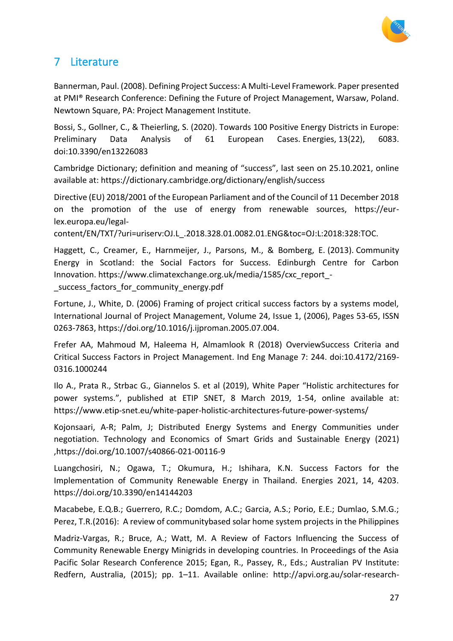

# <span id="page-26-0"></span>7 Literature

Bannerman, Paul. (2008). Defining Project Success: A Multi-Level Framework. Paper presented at PMI® Research Conference: Defining the Future of Project Management, Warsaw, Poland. Newtown Square, PA: Project Management Institute.

Bossi, S., Gollner, C., & Theierling, S. (2020). Towards 100 Positive Energy Districts in Europe: Preliminary Data Analysis of 61 European Cases. Energies, 13(22), 6083. doi:10.3390/en13226083

Cambridge Dictionary; definition and meaning of "success", last seen on 25.10.2021, online available at: https://dictionary.cambridge.org/dictionary/english/success

Directive (EU) 2018/2001 of the European Parliament and of the Council of 11 December 2018 on the promotion of the use of energy from renewable sources, https://eurlex.europa.eu/legal-

content/EN/TXT/?uri=uriserv:OJ.L\_.2018.328.01.0082.01.ENG&toc=OJ:L:2018:328:TOC.

Haggett, C., Creamer, E., Harnmeijer, J., Parsons, M., & Bomberg, E. (2013). Community Energy in Scotland: the Social Factors for Success. Edinburgh Centre for Carbon Innovation. https://www.climatexchange.org.uk/media/1585/cxc\_report\_ success factors for community energy.pdf

Fortune, J., White, D. (2006) Framing of project critical success factors by a systems model, International Journal of Project Management, Volume 24, Issue 1, (2006), Pages 53-65, ISSN 0263-7863, https://doi.org/10.1016/j.ijproman.2005.07.004.

Frefer AA, Mahmoud M, Haleema H, Almamlook R (2018) OverviewSuccess Criteria and Critical Success Factors in Project Management. Ind Eng Manage 7: 244. doi:10.4172/2169- 0316.1000244

Ilo A., Prata R., Strbac G., Giannelos S. et al (2019), White Paper "Holistic architectures for power systems.", published at ETIP SNET, 8 March 2019, 1-54, online available at: https://www.etip-snet.eu/white-paper-holistic-architectures-future-power-systems/

Kojonsaari, A-R; Palm, J; Distributed Energy Systems and Energy Communities under negotiation. Technology and Economics of Smart Grids and Sustainable Energy (2021) ,https://doi.org/10.1007/s40866-021-00116-9

Luangchosiri, N.; Ogawa, T.; Okumura, H.; Ishihara, K.N. Success Factors for the Implementation of Community Renewable Energy in Thailand. Energies 2021, 14, 4203. https://doi.org/10.3390/en14144203

Macabebe, E.Q.B.; Guerrero, R.C.; Domdom, A.C.; Garcia, A.S.; Porio, E.E.; Dumlao, S.M.G.; Perez, T.R.(2016): A review of communitybased solar home system projects in the Philippines

Madriz-Vargas, R.; Bruce, A.; Watt, M. A Review of Factors Influencing the Success of Community Renewable Energy Minigrids in developing countries. In Proceedings of the Asia Pacific Solar Research Conference 2015; Egan, R., Passey, R., Eds.; Australian PV Institute: Redfern, Australia, (2015); pp. 1–11. Available online: http://apvi.org.au/solar-research-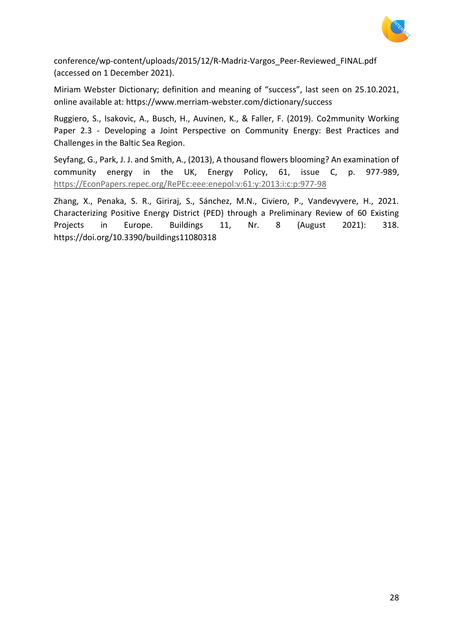

conference/wp-content/uploads/2015/12/R-Madriz-Vargos\_Peer-Reviewed\_FINAL.pdf (accessed on 1 December 2021).

Miriam Webster Dictionary; definition and meaning of "success", last seen on 25.10.2021, online available at: https://www.merriam-webster.com/dictionary/success

Ruggiero, S., Isakovic, A., Busch, H., Auvinen, K., & Faller, F. (2019). Co2mmunity Working Paper 2.3 - Developing a Joint Perspective on Community Energy: Best Practices and Challenges in the Baltic Sea Region.

Seyfang, G., Park, J. J. and Smith, A., (2013), A thousand flowers blooming? An examination of community energy in the UK, Energy Policy, 61, issue C, p. 977-989, [https://EconPapers.repec.org/RePEc:eee:enepol:v:61:y:2013:i:c:p:977-98](https://econpapers.repec.org/RePEc:eee:enepol:v:61:y:2013:i:c:p:977-98)

Zhang, X., Penaka, S. R., Giriraj, S., Sánchez, M.N., Civiero, P., Vandevyvere, H., 2021. Characterizing Positive Energy District (PED) through a Preliminary Review of 60 Existing Projects in Europe. Buildings 11, Nr. 8 (August 2021): 318. https://doi.org/10.3390/buildings11080318